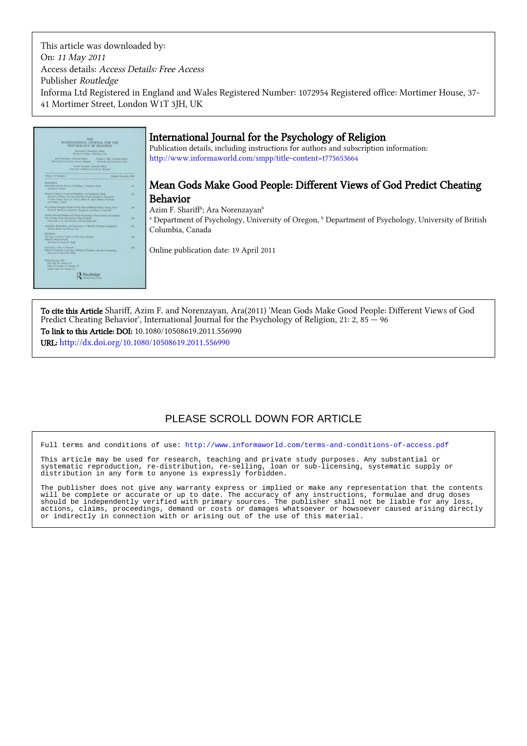This article was downloaded by: On: 11 May 2011 Access details: Access Details: Free Access Publisher Routledge Informa Ltd Registered in England and Wales Registered Number: 1072954 Registered office: Mortimer House, 37- 41 Mortimer Street, London W1T 3JH, UK



### International Journal for the Psychology of Religion

Publication details, including instructions for authors and subscription information: <http://www.informaworld.com/smpp/title~content=t775653664>

## Mean Gods Make Good People: Different Views of God Predict Cheating Behavior

Azim F. Shariff<sup>a</sup>; Ara Norenzayan<sup>b</sup>

<sup>a</sup> Department of Psychology, University of Oregon, <sup>b</sup> Department of Psychology, University of British Columbia, Canada

Online publication date: 19 April 2011

To cite this Article Shariff, Azim F. and Norenzayan, Ara(2011) 'Mean Gods Make Good People: Different Views of God Predict Cheating Behavior', International Journal for the Psychology of Religion, 21: 2, 85  $\div$  96

To link to this Article: DOI: 10.1080/10508619.2011.556990 URL: <http://dx.doi.org/10.1080/10508619.2011.556990>

# PLEASE SCROLL DOWN FOR ARTICLE

Full terms and conditions of use:<http://www.informaworld.com/terms-and-conditions-of-access.pdf>

This article may be used for research, teaching and private study purposes. Any substantial or systematic reproduction, re-distribution, re-selling, loan or sub-licensing, systematic supply or distribution in any form to anyone is expressly forbidden.

The publisher does not give any warranty express or implied or make any representation that the contents will be complete or accurate or up to date. The accuracy of any instructions, formulae and drug doses should be independently verified with primary sources. The publisher shall not be liable for any loss, actions, claims, proceedings, demand or costs or damages whatsoever or howsoever caused arising directly or indirectly in connection with or arising out of the use of this material.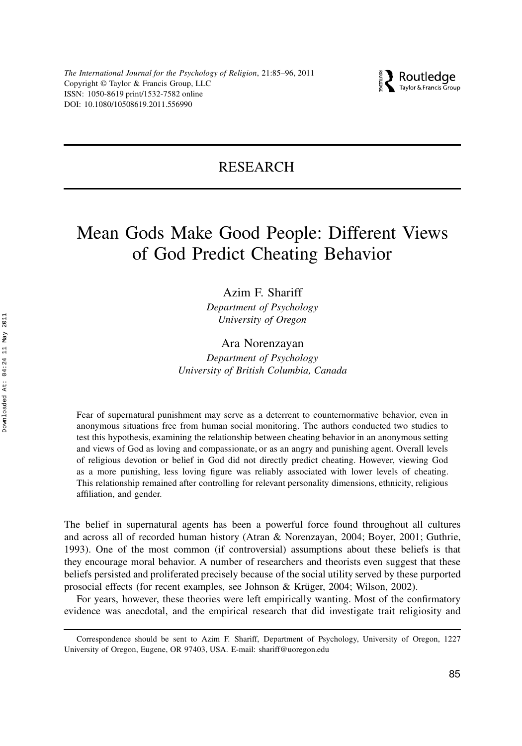

## RESEARCH

# Mean Gods Make Good People: Different Views of God Predict Cheating Behavior

Azim F. Shariff

Department of Psychology University of Oregon

#### Ara Norenzayan

Department of Psychology University of British Columbia, Canada

Fear of supernatural punishment may serve as a deterrent to counternormative behavior, even in anonymous situations free from human social monitoring. The authors conducted two studies to test this hypothesis, examining the relationship between cheating behavior in an anonymous setting and views of God as loving and compassionate, or as an angry and punishing agent. Overall levels of religious devotion or belief in God did not directly predict cheating. However, viewing God as a more punishing, less loving figure was reliably associated with lower levels of cheating. This relationship remained after controlling for relevant personality dimensions, ethnicity, religious affiliation, and gender.

The belief in supernatural agents has been a powerful force found throughout all cultures and across all of recorded human history (Atran & Norenzayan, 2004; Boyer, 2001; Guthrie, 1993). One of the most common (if controversial) assumptions about these beliefs is that they encourage moral behavior. A number of researchers and theorists even suggest that these beliefs persisted and proliferated precisely because of the social utility served by these purported prosocial effects (for recent examples, see Johnson & Krüger, 2004; Wilson, 2002).

For years, however, these theories were left empirically wanting. Most of the confirmatory evidence was anecdotal, and the empirical research that did investigate trait religiosity and

Correspondence should be sent to Azim F. Shariff, Department of Psychology, University of Oregon, 1227 University of Oregon, Eugene, OR 97403, USA. E-mail: shariff@uoregon.edu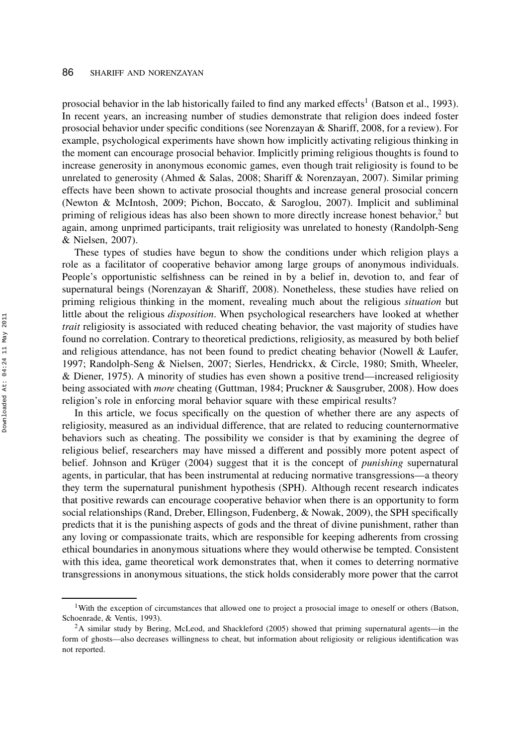prosocial behavior in the lab historically failed to find any marked effects<sup>1</sup> (Batson et al., 1993). In recent years, an increasing number of studies demonstrate that religion does indeed foster prosocial behavior under specific conditions (see Norenzayan & Shariff, 2008, for a review). For example, psychological experiments have shown how implicitly activating religious thinking in the moment can encourage prosocial behavior. Implicitly priming religious thoughts is found to increase generosity in anonymous economic games, even though trait religiosity is found to be unrelated to generosity (Ahmed & Salas, 2008; Shariff & Norenzayan, 2007). Similar priming effects have been shown to activate prosocial thoughts and increase general prosocial concern (Newton & McIntosh, 2009; Pichon, Boccato, & Saroglou, 2007). Implicit and subliminal priming of religious ideas has also been shown to more directly increase honest behavior, $2$  but again, among unprimed participants, trait religiosity was unrelated to honesty (Randolph-Seng & Nielsen, 2007).

These types of studies have begun to show the conditions under which religion plays a role as a facilitator of cooperative behavior among large groups of anonymous individuals. People's opportunistic selfishness can be reined in by a belief in, devotion to, and fear of supernatural beings (Norenzayan & Shariff, 2008). Nonetheless, these studies have relied on priming religious thinking in the moment, revealing much about the religious situation but little about the religious disposition. When psychological researchers have looked at whether *trait* religiosity is associated with reduced cheating behavior, the vast majority of studies have found no correlation. Contrary to theoretical predictions, religiosity, as measured by both belief and religious attendance, has not been found to predict cheating behavior (Nowell  $\&$  Laufer, 1997; Randolph-Seng & Nielsen, 2007; Sierles, Hendrickx, & Circle, 1980; Smith, Wheeler, & Diener, 1975). A minority of studies has even shown a positive trend—increased religiosity being associated with *more* cheating (Guttman, 1984; Pruckner & Sausgruber, 2008). How does religion's role in enforcing moral behavior square with these empirical results?

In this article, we focus specifically on the question of whether there are any aspects of religiosity, measured as an individual difference, that are related to reducing counternormative behaviors such as cheating. The possibility we consider is that by examining the degree of religious belief, researchers may have missed a different and possibly more potent aspect of belief. Johnson and Krüger (2004) suggest that it is the concept of punishing supernatural agents, in particular, that has been instrumental at reducing normative transgressions—a theory they term the supernatural punishment hypothesis (SPH). Although recent research indicates that positive rewards can encourage cooperative behavior when there is an opportunity to form social relationships (Rand, Dreber, Ellingson, Fudenberg, & Nowak, 2009), the SPH specifically predicts that it is the punishing aspects of gods and the threat of divine punishment, rather than any loving or compassionate traits, which are responsible for keeping adherents from crossing ethical boundaries in anonymous situations where they would otherwise be tempted. Consistent with this idea, game theoretical work demonstrates that, when it comes to deterring normative transgressions in anonymous situations, the stick holds considerably more power that the carrot

<sup>&</sup>lt;sup>1</sup>With the exception of circumstances that allowed one to project a prosocial image to oneself or others (Batson, Schoenrade, & Ventis, 1993).

 ${}^{2}$ A similar study by Bering, McLeod, and Shackleford (2005) showed that priming supernatural agents—in the form of ghosts—also decreases willingness to cheat, but information about religiosity or religious identification was not reported.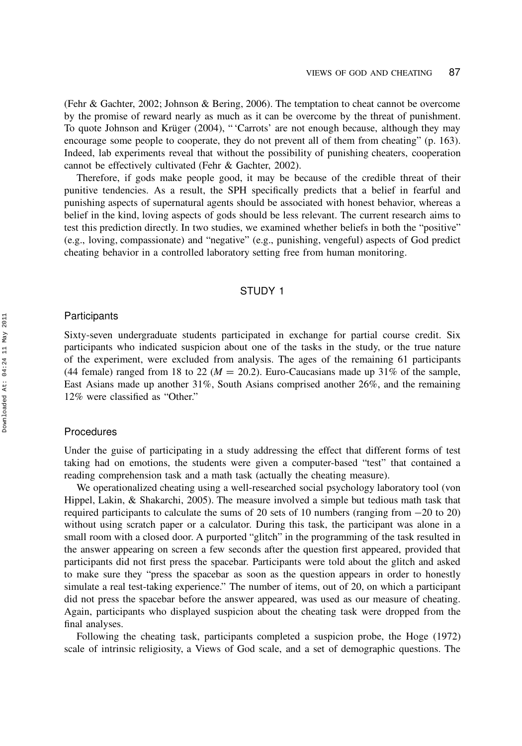(Fehr & Gachter, 2002; Johnson & Bering, 2006). The temptation to cheat cannot be overcome by the promise of reward nearly as much as it can be overcome by the threat of punishment. To quote Johnson and Krüger (2004), " 'Carrots' are not enough because, although they may encourage some people to cooperate, they do not prevent all of them from cheating" (p. 163). Indeed, lab experiments reveal that without the possibility of punishing cheaters, cooperation cannot be effectively cultivated (Fehr & Gachter, 2002).

Therefore, if gods make people good, it may be because of the credible threat of their punitive tendencies. As a result, the SPH specifically predicts that a belief in fearful and punishing aspects of supernatural agents should be associated with honest behavior, whereas a belief in the kind, loving aspects of gods should be less relevant. The current research aims to test this prediction directly. In two studies, we examined whether beliefs in both the "positive" (e.g., loving, compassionate) and "negative" (e.g., punishing, vengeful) aspects of God predict cheating behavior in a controlled laboratory setting free from human monitoring.

#### STUDY 1

#### **Participants**

Sixty-seven undergraduate students participated in exchange for partial course credit. Six participants who indicated suspicion about one of the tasks in the study, or the true nature of the experiment, were excluded from analysis. The ages of the remaining 61 participants (44 female) ranged from 18 to 22 ( $M = 20.2$ ). Euro-Caucasians made up 31% of the sample, East Asians made up another 31%, South Asians comprised another 26%, and the remaining 12% were classified as "Other."

#### Procedures

Under the guise of participating in a study addressing the effect that different forms of test taking had on emotions, the students were given a computer-based "test" that contained a reading comprehension task and a math task (actually the cheating measure).

We operationalized cheating using a well-researched social psychology laboratory tool (von Hippel, Lakin, & Shakarchi, 2005). The measure involved a simple but tedious math task that required participants to calculate the sums of 20 sets of 10 numbers (ranging from  $-20$  to 20) without using scratch paper or a calculator. During this task, the participant was alone in a small room with a closed door. A purported "glitch" in the programming of the task resulted in the answer appearing on screen a few seconds after the question first appeared, provided that participants did not first press the spacebar. Participants were told about the glitch and asked to make sure they "press the spacebar as soon as the question appears in order to honestly simulate a real test-taking experience." The number of items, out of 20, on which a participant did not press the spacebar before the answer appeared, was used as our measure of cheating. Again, participants who displayed suspicion about the cheating task were dropped from the final analyses.

Following the cheating task, participants completed a suspicion probe, the Hoge (1972) scale of intrinsic religiosity, a Views of God scale, and a set of demographic questions. The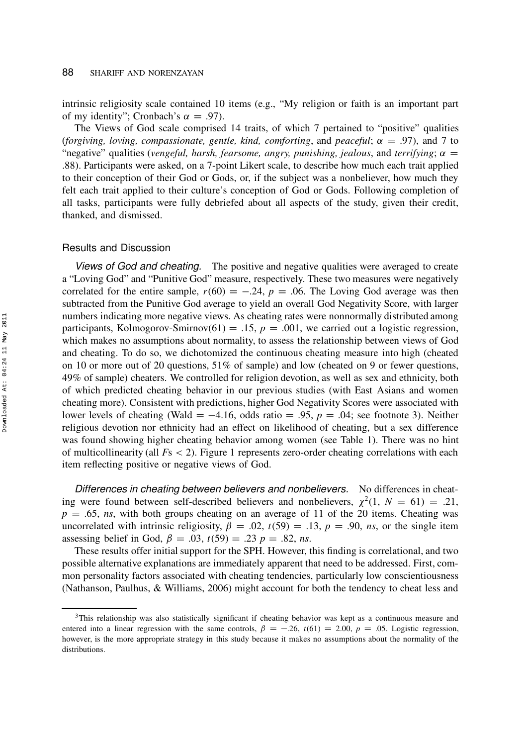#### 88 SHARIFF AND NORENZAYAN

intrinsic religiosity scale contained 10 items (e.g., "My religion or faith is an important part of my identity"; Cronbach's  $\alpha = .97$ ).

The Views of God scale comprised 14 traits, of which 7 pertained to "positive" qualities (forgiving, loving, compassionate, gentle, kind, comforting, and peaceful;  $\alpha = .97$ ), and 7 to "negative" qualities (vengeful, harsh, fearsome, angry, punishing, jealous, and terrifying;  $\alpha =$ .88). Participants were asked, on a 7-point Likert scale, to describe how much each trait applied to their conception of their God or Gods, or, if the subject was a nonbeliever, how much they felt each trait applied to their culture's conception of God or Gods. Following completion of all tasks, participants were fully debriefed about all aspects of the study, given their credit, thanked, and dismissed.

#### Results and Discussion

Views of God and cheating. The positive and negative qualities were averaged to create a "Loving God" and "Punitive God" measure, respectively. These two measures were negatively correlated for the entire sample,  $r(60) = -.24$ ,  $p = .06$ . The Loving God average was then subtracted from the Punitive God average to yield an overall God Negativity Score, with larger numbers indicating more negative views. As cheating rates were nonnormally distributed among participants, Kolmogorov-Smirnov(61) = .15,  $p = .001$ , we carried out a logistic regression, which makes no assumptions about normality, to assess the relationship between views of God and cheating. To do so, we dichotomized the continuous cheating measure into high (cheated on 10 or more out of 20 questions, 51% of sample) and low (cheated on 9 or fewer questions, 49% of sample) cheaters. We controlled for religion devotion, as well as sex and ethnicity, both of which predicted cheating behavior in our previous studies (with East Asians and women cheating more). Consistent with predictions, higher God Negativity Scores were associated with lower levels of cheating (Wald  $= -4.16$ , odds ratio  $= .95$ ,  $p = .04$ ; see footnote 3). Neither religious devotion nor ethnicity had an effect on likelihood of cheating, but a sex difference was found showing higher cheating behavior among women (see Table 1). There was no hint of multicollinearity (all  $Fs < 2$ ). Figure 1 represents zero-order cheating correlations with each item reflecting positive or negative views of God.

Differences in cheating between believers and nonbelievers. No differences in cheating were found between self-described believers and nonbelievers,  $\chi^2(1, N = 61) = .21$ ,  $p = 0.65$ , ns, with both groups cheating on an average of 11 of the 20 items. Cheating was uncorrelated with intrinsic religiosity,  $\beta = .02$ ,  $t(59) = .13$ ,  $p = .90$ , ns, or the single item assessing belief in God,  $\beta = .03$ ,  $t(59) = .23$  p = .82, ns.

These results offer initial support for the SPH. However, this finding is correlational, and two possible alternative explanations are immediately apparent that need to be addressed. First, common personality factors associated with cheating tendencies, particularly low conscientiousness (Nathanson, Paulhus, & Williams, 2006) might account for both the tendency to cheat less and

<sup>&</sup>lt;sup>3</sup>This relationship was also statistically significant if cheating behavior was kept as a continuous measure and entered into a linear regression with the same controls,  $\beta = -26$ ,  $t(61) = 2.00$ ,  $p = .05$ . Logistic regression, however, is the more appropriate strategy in this study because it makes no assumptions about the normality of the distributions.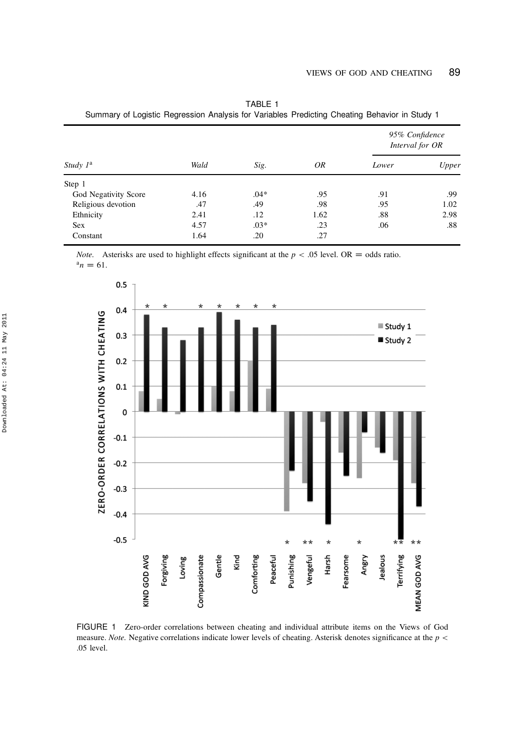| Study $I^a$          | Wald | Sig.   | 0R   | 95% Confidence<br>Interval for OR |       |  |
|----------------------|------|--------|------|-----------------------------------|-------|--|
|                      |      |        |      | Lower                             | Upper |  |
| Step 1               |      |        |      |                                   |       |  |
| God Negativity Score | 4.16 | $.04*$ | .95  | .91                               | .99   |  |
| Religious devotion   | .47  | .49    | .98  | .95                               | 1.02  |  |
| Ethnicity            | 2.41 | .12    | 1.62 | .88                               | 2.98  |  |
| <b>Sex</b>           | 4.57 | $.03*$ | .23  | .06                               | .88   |  |
| Constant             | 1.64 | .20    | .27  |                                   |       |  |

TABLE 1 Summary of Logistic Regression Analysis for Variables Predicting Cheating Behavior in Study 1

*Note.* Asterisks are used to highlight effects significant at the  $p < .05$  level. OR = odds ratio.  $a_n = 61$ .



FIGURE 1 Zero-order correlations between cheating and individual attribute items on the Views of God measure. Note. Negative correlations indicate lower levels of cheating. Asterisk denotes significance at the p < .05 level.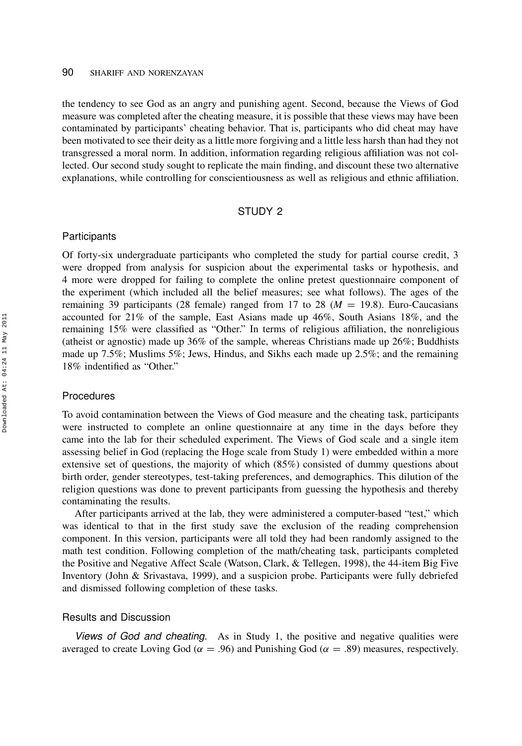#### 90 SHARIFF AND NORENZAYAN

the tendency to see God as an angry and punishing agent. Second, because the Views of God measure was completed after the cheating measure, it is possible that these views may have been contaminated by participants' cheating behavior. That is, participants who did cheat may have been motivated to see their deity as a little more forgiving and a little less harsh than had they not transgressed a moral norm. In addition, information regarding religious affiliation was not collected. Our second study sought to replicate the main finding, and discount these two alternative explanations, while controlling for conscientiousness as well as religious and ethnic affiliation.

#### STUDY 2

#### **Participants**

Of forty-six undergraduate participants who completed the study for partial course credit, 3 were dropped from analysis for suspicion about the experimental tasks or hypothesis, and 4 more were dropped for failing to complete the online pretest questionnaire component of the experiment (which included all the belief measures; see what follows). The ages of the remaining 39 participants (28 female) ranged from 17 to 28 ( $M = 19.8$ ). Euro-Caucasians accounted for 21% of the sample, East Asians made up 46%, South Asians 18%, and the remaining 15% were classified as "Other." In terms of religious affiliation, the nonreligious (atheist or agnostic) made up 36% of the sample, whereas Christians made up 26%; Buddhists made up 7.5%; Muslims 5%; Jews, Hindus, and Sikhs each made up 2.5%; and the remaining 18% indentified as "Other."

#### Procedures

To avoid contamination between the Views of God measure and the cheating task, participants were instructed to complete an online questionnaire at any time in the days before they came into the lab for their scheduled experiment. The Views of God scale and a single item assessing belief in God (replacing the Hoge scale from Study 1) were embedded within a more extensive set of questions, the majority of which (85%) consisted of dummy questions about birth order, gender stereotypes, test-taking preferences, and demographics. This dilution of the religion questions was done to prevent participants from guessing the hypothesis and thereby contaminating the results.

After participants arrived at the lab, they were administered a computer-based "test," which was identical to that in the first study save the exclusion of the reading comprehension component. In this version, participants were all told they had been randomly assigned to the math test condition. Following completion of the math/cheating task, participants completed the Positive and Negative Affect Scale (Watson, Clark, & Tellegen, 1998), the 44-item Big Five Inventory (John & Srivastava, 1999), and a suspicion probe. Participants were fully debriefed and dismissed following completion of these tasks.

#### Results and Discussion

Views of God and cheating. As in Study 1, the positive and negative qualities were averaged to create Loving God ( $\alpha = .96$ ) and Punishing God ( $\alpha = .89$ ) measures, respectively.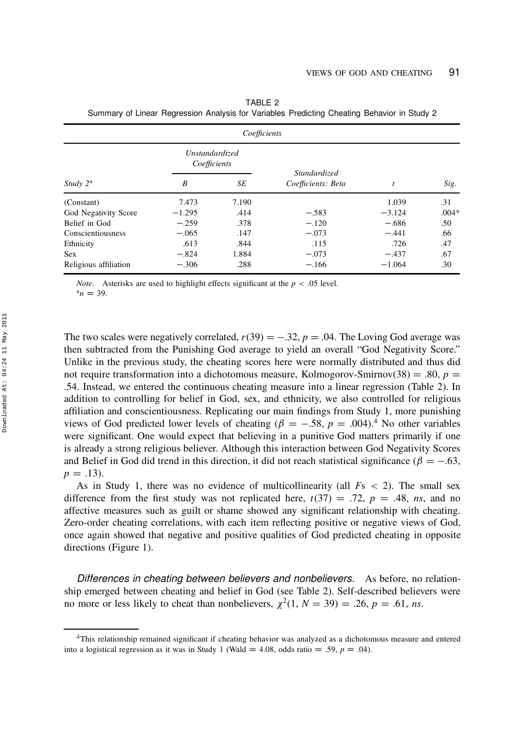| Coefficients          |                                |       |                                    |          |         |  |  |  |  |
|-----------------------|--------------------------------|-------|------------------------------------|----------|---------|--|--|--|--|
|                       | Unstandardized<br>Coefficients |       |                                    |          |         |  |  |  |  |
| Study 2 <sup>a</sup>  | B                              | SE    | Standardized<br>Coefficients: Beta |          | Sig.    |  |  |  |  |
| (Constant)            | 7.473                          | 7.190 |                                    | 1.039    | .31     |  |  |  |  |
| God Negativity Score  | $-1.295$                       | .414  | $-.583$                            | $-3.124$ | $.004*$ |  |  |  |  |
| Belief in God         | $-.259$                        | .378  | $-.120$                            | $-.686$  | .50     |  |  |  |  |
| Conscientiousness     | $-.065$                        | .147  | $-.073$                            | $-.441$  | .66     |  |  |  |  |
| Ethnicity             | .613                           | .844  | .115                               | .726     | .47     |  |  |  |  |
| Sex                   | $-.824$                        | 1.884 | $-.073$                            | $-.437$  | .67     |  |  |  |  |
| Religious affiliation | $-.306$                        | .288  | $-.166$                            | $-1.064$ | .30     |  |  |  |  |

| TABLE 2                                                                                     |  |  |  |  |  |  |  |  |
|---------------------------------------------------------------------------------------------|--|--|--|--|--|--|--|--|
| Summary of Linear Regression Analysis for Variables Predicting Cheating Behavior in Study 2 |  |  |  |  |  |  |  |  |

*Note.* Asterisks are used to highlight effects significant at the  $p < .05$  level.  $a_n = 39$ 

The two scales were negatively correlated,  $r(39) = -.32$ ,  $p = .04$ . The Loving God average was then subtracted from the Punishing God average to yield an overall "God Negativity Score." Unlike in the previous study, the cheating scores here were normally distributed and thus did not require transformation into a dichotomous measure, Kolmogorov-Smirnov(38) = .80,  $p =$ .54. Instead, we entered the continuous cheating measure into a linear regression (Table 2). In addition to controlling for belief in God, sex, and ethnicity, we also controlled for religious affiliation and conscientiousness. Replicating our main findings from Study 1, more punishing views of God predicted lower levels of cheating ( $\beta = -.58$ ,  $p = .004$ ).<sup>4</sup> No other variables were significant. One would expect that believing in a punitive God matters primarily if one is already a strong religious believer. Although this interaction between God Negativity Scores and Belief in God did trend in this direction, it did not reach statistical significance ( $\beta = -.63$ ,  $p = .13$ ).

As in Study 1, there was no evidence of multicollinearity (all  $Fs < 2$ ). The small sex difference from the first study was not replicated here,  $t(37) = .72$ ,  $p = .48$ , ns, and no affective measures such as guilt or shame showed any significant relationship with cheating. Zero-order cheating correlations, with each item reflecting positive or negative views of God, once again showed that negative and positive qualities of God predicted cheating in opposite directions (Figure 1).

Differences in cheating between believers and nonbelievers. As before, no relationship emerged between cheating and belief in God (see Table 2). Self-described believers were no more or less likely to cheat than nonbelievers,  $\chi^2(1, N = 39) = .26, p = .61, ns$ .

<sup>4</sup>This relationship remained significant if cheating behavior was analyzed as a dichotomous measure and entered into a logistical regression as it was in Study 1 (Wald  $=$  4.08, odds ratio  $=$  .59, p  $=$  .04).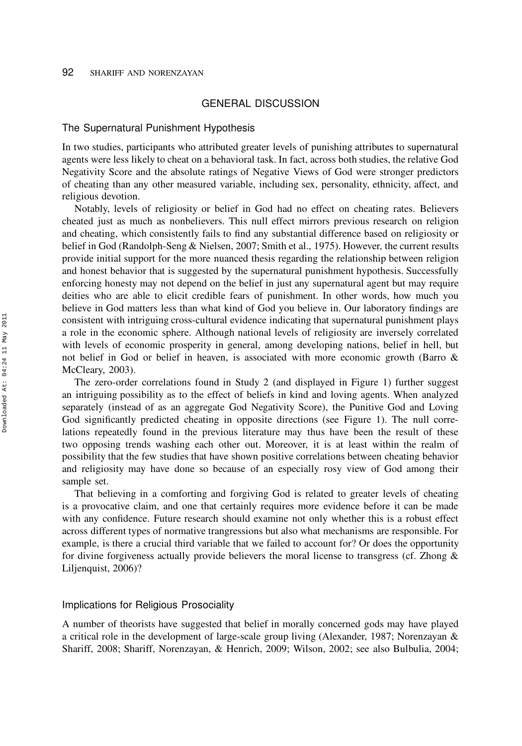#### GENERAL DISCUSSION

#### The Supernatural Punishment Hypothesis

In two studies, participants who attributed greater levels of punishing attributes to supernatural agents were less likely to cheat on a behavioral task. In fact, across both studies, the relative God Negativity Score and the absolute ratings of Negative Views of God were stronger predictors of cheating than any other measured variable, including sex, personality, ethnicity, affect, and religious devotion.

Notably, levels of religiosity or belief in God had no effect on cheating rates. Believers cheated just as much as nonbelievers. This null effect mirrors previous research on religion and cheating, which consistently fails to find any substantial difference based on religiosity or belief in God (Randolph-Seng & Nielsen, 2007; Smith et al., 1975). However, the current results provide initial support for the more nuanced thesis regarding the relationship between religion and honest behavior that is suggested by the supernatural punishment hypothesis. Successfully enforcing honesty may not depend on the belief in just any supernatural agent but may require deities who are able to elicit credible fears of punishment. In other words, how much you believe in God matters less than what kind of God you believe in. Our laboratory findings are consistent with intriguing cross-cultural evidence indicating that supernatural punishment plays a role in the economic sphere. Although national levels of religiosity are inversely correlated with levels of economic prosperity in general, among developing nations, belief in hell, but not belief in God or belief in heaven, is associated with more economic growth (Barro & McCleary, 2003).

The zero-order correlations found in Study 2 (and displayed in Figure 1) further suggest an intriguing possibility as to the effect of beliefs in kind and loving agents. When analyzed separately (instead of as an aggregate God Negativity Score), the Punitive God and Loving God significantly predicted cheating in opposite directions (see Figure 1). The null correlations repeatedly found in the previous literature may thus have been the result of these two opposing trends washing each other out. Moreover, it is at least within the realm of possibility that the few studies that have shown positive correlations between cheating behavior and religiosity may have done so because of an especially rosy view of God among their sample set.

That believing in a comforting and forgiving God is related to greater levels of cheating is a provocative claim, and one that certainly requires more evidence before it can be made with any confidence. Future research should examine not only whether this is a robust effect across different types of normative trangressions but also what mechanisms are responsible. For example, is there a crucial third variable that we failed to account for? Or does the opportunity for divine forgiveness actually provide believers the moral license to transgress (cf. Zhong & Liljenquist, 2006)?

#### Implications for Religious Prosociality

A number of theorists have suggested that belief in morally concerned gods may have played a critical role in the development of large-scale group living (Alexander, 1987; Norenzayan & Shariff, 2008; Shariff, Norenzayan, & Henrich, 2009; Wilson, 2002; see also Bulbulia, 2004;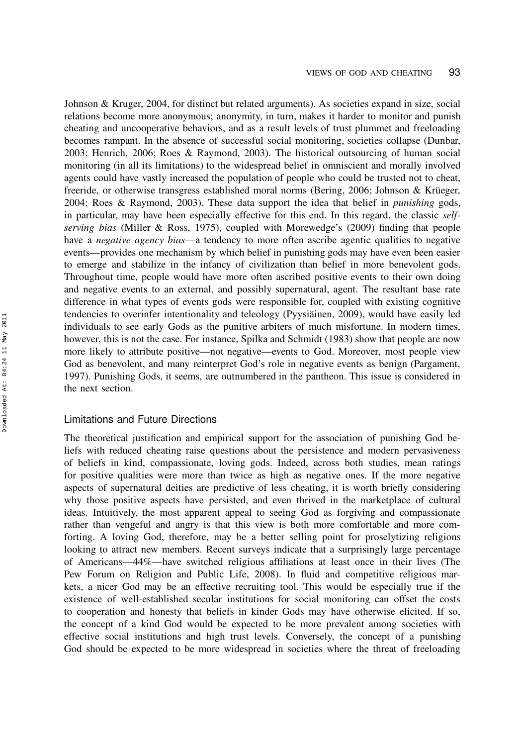Johnson & Kruger, 2004, for distinct but related arguments). As societies expand in size, social relations become more anonymous; anonymity, in turn, makes it harder to monitor and punish cheating and uncooperative behaviors, and as a result levels of trust plummet and freeloading becomes rampant. In the absence of successful social monitoring, societies collapse (Dunbar, 2003; Henrich, 2006; Roes & Raymond, 2003). The historical outsourcing of human social monitoring (in all its limitations) to the widespread belief in omniscient and morally involved agents could have vastly increased the population of people who could be trusted not to cheat, freeride, or otherwise transgress established moral norms (Bering, 2006; Johnson & Krüeger, 2004; Roes & Raymond, 2003). These data support the idea that belief in punishing gods, in particular, may have been especially effective for this end. In this regard, the classic selfserving bias (Miller & Ross, 1975), coupled with Morewedge's (2009) finding that people have a *negative agency bias*—a tendency to more often ascribe agentic qualities to negative events—provides one mechanism by which belief in punishing gods may have even been easier to emerge and stabilize in the infancy of civilization than belief in more benevolent gods. Throughout time, people would have more often ascribed positive events to their own doing and negative events to an external, and possibly supernatural, agent. The resultant base rate difference in what types of events gods were responsible for, coupled with existing cognitive tendencies to overinfer intentionality and teleology (Pyysiäinen, 2009), would have easily led individuals to see early Gods as the punitive arbiters of much misfortune. In modern times, however, this is not the case. For instance, Spilka and Schmidt (1983) show that people are now more likely to attribute positive—not negative—events to God. Moreover, most people view God as benevolent, and many reinterpret God's role in negative events as benign (Pargament, 1997). Punishing Gods, it seems, are outnumbered in the pantheon. This issue is considered in the next section.

#### Limitations and Future Directions

The theoretical justification and empirical support for the association of punishing God beliefs with reduced cheating raise questions about the persistence and modern pervasiveness of beliefs in kind, compassionate, loving gods. Indeed, across both studies, mean ratings for positive qualities were more than twice as high as negative ones. If the more negative aspects of supernatural deities are predictive of less cheating, it is worth briefly considering why those positive aspects have persisted, and even thrived in the marketplace of cultural ideas. Intuitively, the most apparent appeal to seeing God as forgiving and compassionate rather than vengeful and angry is that this view is both more comfortable and more comforting. A loving God, therefore, may be a better selling point for proselytizing religions looking to attract new members. Recent surveys indicate that a surprisingly large percentage of Americans—44%—have switched religious affiliations at least once in their lives (The Pew Forum on Religion and Public Life, 2008). In fluid and competitive religious markets, a nicer God may be an effective recruiting tool. This would be especially true if the existence of well-established secular institutions for social monitoring can offset the costs to cooperation and honesty that beliefs in kinder Gods may have otherwise elicited. If so, the concept of a kind God would be expected to be more prevalent among societies with effective social institutions and high trust levels. Conversely, the concept of a punishing God should be expected to be more widespread in societies where the threat of freeloading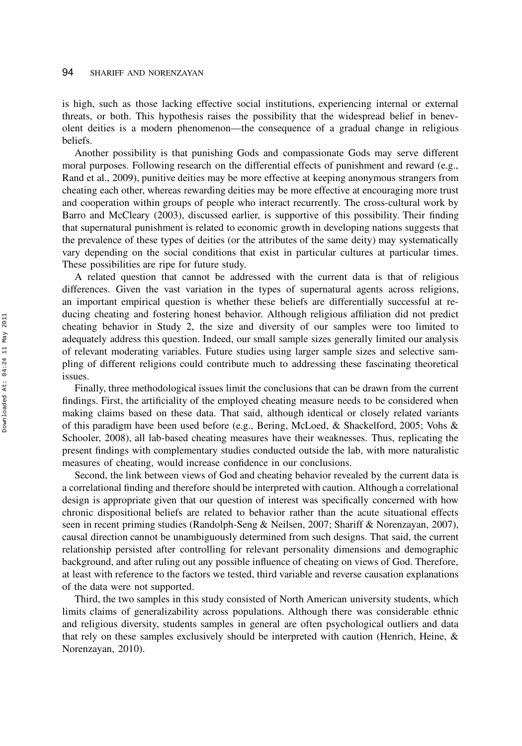is high, such as those lacking effective social institutions, experiencing internal or external threats, or both. This hypothesis raises the possibility that the widespread belief in benevolent deities is a modern phenomenon—the consequence of a gradual change in religious beliefs.

Another possibility is that punishing Gods and compassionate Gods may serve different moral purposes. Following research on the differential effects of punishment and reward (e.g., Rand et al., 2009), punitive deities may be more effective at keeping anonymous strangers from cheating each other, whereas rewarding deities may be more effective at encouraging more trust and cooperation within groups of people who interact recurrently. The cross-cultural work by Barro and McCleary (2003), discussed earlier, is supportive of this possibility. Their finding that supernatural punishment is related to economic growth in developing nations suggests that the prevalence of these types of deities (or the attributes of the same deity) may systematically vary depending on the social conditions that exist in particular cultures at particular times. These possibilities are ripe for future study.

A related question that cannot be addressed with the current data is that of religious differences. Given the vast variation in the types of supernatural agents across religions, an important empirical question is whether these beliefs are differentially successful at reducing cheating and fostering honest behavior. Although religious affiliation did not predict cheating behavior in Study 2, the size and diversity of our samples were too limited to adequately address this question. Indeed, our small sample sizes generally limited our analysis of relevant moderating variables. Future studies using larger sample sizes and selective sampling of different religions could contribute much to addressing these fascinating theoretical issues.

Finally, three methodological issues limit the conclusions that can be drawn from the current findings. First, the artificiality of the employed cheating measure needs to be considered when making claims based on these data. That said, although identical or closely related variants of this paradigm have been used before (e.g., Bering, McLoed, & Shackelford, 2005; Vohs & Schooler, 2008), all lab-based cheating measures have their weaknesses. Thus, replicating the present findings with complementary studies conducted outside the lab, with more naturalistic measures of cheating, would increase confidence in our conclusions.

Second, the link between views of God and cheating behavior revealed by the current data is a correlational finding and therefore should be interpreted with caution. Although a correlational design is appropriate given that our question of interest was specifically concerned with how chronic dispositional beliefs are related to behavior rather than the acute situational effects seen in recent priming studies (Randolph-Seng & Neilsen, 2007; Shariff & Norenzayan, 2007), causal direction cannot be unambiguously determined from such designs. That said, the current relationship persisted after controlling for relevant personality dimensions and demographic background, and after ruling out any possible influence of cheating on views of God. Therefore, at least with reference to the factors we tested, third variable and reverse causation explanations of the data were not supported.

Third, the two samples in this study consisted of North American university students, which limits claims of generalizability across populations. Although there was considerable ethnic and religious diversity, students samples in general are often psychological outliers and data that rely on these samples exclusively should be interpreted with caution (Henrich, Heine, & Norenzayan, 2010).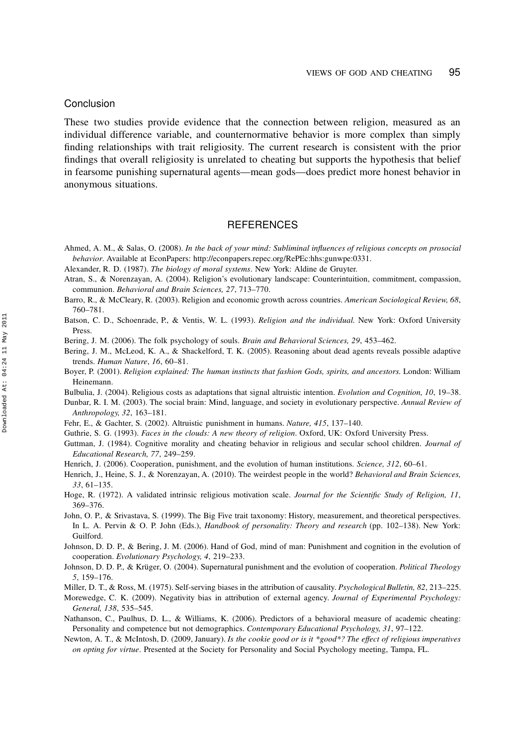#### **Conclusion**

These two studies provide evidence that the connection between religion, measured as an individual difference variable, and counternormative behavior is more complex than simply finding relationships with trait religiosity. The current research is consistent with the prior findings that overall religiosity is unrelated to cheating but supports the hypothesis that belief in fearsome punishing supernatural agents—mean gods—does predict more honest behavior in anonymous situations.

#### **REFERENCES**

- Ahmed, A. M., & Salas, O. (2008). In the back of your mind: Subliminal influences of religious concepts on prosocial behavior. Available at EconPapers: http://econpapers.repec.org/RePEc:hhs:gunwpe:0331.
- Alexander, R. D. (1987). The biology of moral systems. New York: Aldine de Gruyter.
- Atran, S., & Norenzayan, A. (2004). Religion's evolutionary landscape: Counterintuition, commitment, compassion, communion. Behavioral and Brain Sciences, 27, 713–770.
- Barro, R., & McCleary, R. (2003). Religion and economic growth across countries. American Sociological Review, 68, 760–781.
- Batson, C. D., Schoenrade, P., & Ventis, W. L. (1993). Religion and the individual. New York: Oxford University Press.
- Bering, J. M. (2006). The folk psychology of souls. Brain and Behavioral Sciences, 29, 453–462.
- Bering, J. M., McLeod, K. A., & Shackelford, T. K. (2005). Reasoning about dead agents reveals possible adaptive trends. Human Nature, 16, 60–81.
- Boyer, P. (2001). Religion explained: The human instincts that fashion Gods, spirits, and ancestors. London: William Heinemann.
- Bulbulia, J. (2004). Religious costs as adaptations that signal altruistic intention. Evolution and Cognition, 10, 19–38.
- Dunbar, R. I. M. (2003). The social brain: Mind, language, and society in evolutionary perspective. Annual Review of Anthropology, 32, 163–181.
- Fehr, E., & Gachter, S. (2002). Altruistic punishment in humans. Nature, 415, 137–140.
- Guthrie, S. G. (1993). Faces in the clouds: A new theory of religion. Oxford, UK: Oxford University Press.
- Guttman, J. (1984). Cognitive morality and cheating behavior in religious and secular school children. Journal of Educational Research, 77, 249–259.
- Henrich, J. (2006). Cooperation, punishment, and the evolution of human institutions. Science, 312, 60–61.
- Henrich, J., Heine, S. J., & Norenzayan, A. (2010). The weirdest people in the world? Behavioral and Brain Sciences, 33, 61–135.
- Hoge, R. (1972). A validated intrinsic religious motivation scale. Journal for the Scientific Study of Religion, 11, 369–376.
- John, O. P., & Srivastava, S. (1999). The Big Five trait taxonomy: History, measurement, and theoretical perspectives. In L. A. Pervin & O. P. John (Eds.), Handbook of personality: Theory and research (pp. 102-138). New York: Guilford.
- Johnson, D. D. P., & Bering, J. M. (2006). Hand of God, mind of man: Punishment and cognition in the evolution of cooperation. Evolutionary Psychology, 4, 219–233.
- Johnson, D. D. P., & Krüger, O. (2004). Supernatural punishment and the evolution of cooperation. Political Theology 5, 159–176.
- Miller, D. T., & Ross, M. (1975). Self-serving biases in the attribution of causality. Psychological Bulletin, 82, 213–225.
- Morewedge, C. K. (2009). Negativity bias in attribution of external agency. Journal of Experimental Psychology: General, 138, 535–545.
- Nathanson, C., Paulhus, D. L., & Williams, K. (2006). Predictors of a behavioral measure of academic cheating: Personality and competence but not demographics. Contemporary Educational Psychology, 31, 97–122.
- Newton, A. T., & McIntosh, D. (2009, January). Is the cookie good or is it \*good\*? The effect of religious imperatives on opting for virtue. Presented at the Society for Personality and Social Psychology meeting, Tampa, FL.